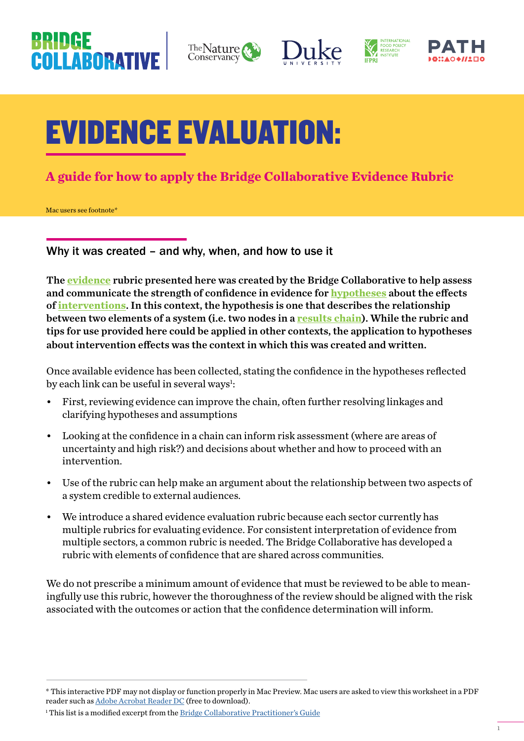# **BRIDGE COLLABORATIV**









# EVIDENCE EVALUATION:

# **A guide for how to apply the Bridge Collaborative Evidence Rubric**

Mac users see footnote\*

Why it was created – and why, when, and how to use it

The **evidence** rubric presented here was created by the Bridge Collaborative to help assess and communicate the strength of confidence in evidence for **hypotheses** about the effects of **interventions**. In this context, the hypothesis is one that describes the relationship between two elements of a system (i.e. two nodes in a **results chain**). While the rubric and tips for use provided here could be applied in other contexts, the application to hypotheses about intervention effects was the context in which this was created and written.

Once available evidence has been collected, stating the confidence in the hypotheses reflected by each link can be useful in several ways<sup>1</sup>:

- First, reviewing evidence can improve the chain, often further resolving linkages and clarifying hypotheses and assumptions
- Looking at the confidence in a chain can inform risk assessment (where are areas of uncertainty and high risk?) and decisions about whether and how to proceed with an intervention.
- Use of the rubric can help make an argument about the relationship between two aspects of a system credible to external audiences.
- We introduce a shared evidence evaluation rubric because each sector currently has multiple rubrics for evaluating evidence. For consistent interpretation of evidence from multiple sectors, a common rubric is needed. The Bridge Collaborative has developed a rubric with elements of confidence that are shared across communities.

We do not prescribe a minimum amount of evidence that must be reviewed to be able to meaningfully use this rubric, however the thoroughness of the review should be aligned with the risk associated with the outcomes or action that the confidence determination will inform.

<sup>\*</sup> This interactive PDF may not display or function properly in Mac Preview. Mac users are asked to view this worksheet in a PDF reader such as [Adobe Acrobat Reader DC](https://get.adobe.com/uk/reader/?promoid=KSWLH) (free to download).

<sup>&</sup>lt;sup>1</sup> This list is a modified excerpt from the <u>Bridge Collaborative Practitioner's Guide</u>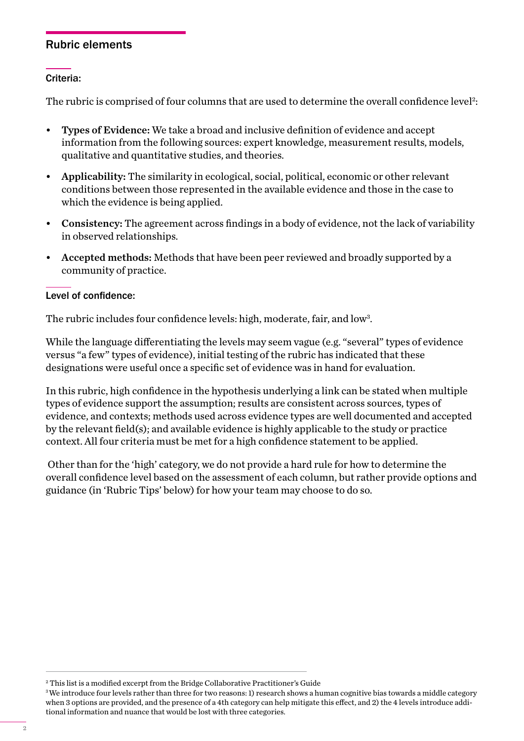# Rubric elements

## Criteria:

The rubric is comprised of four columns that are used to determine the overall confidence level<sup>2</sup>:

- Types of Evidence: We take a broad and inclusive definition of evidence and accept information from the following sources: expert knowledge, measurement results, models, qualitative and quantitative studies, and theories.
- Applicability: The similarity in ecological, social, political, economic or other relevant conditions between those represented in the available evidence and those in the case to which the evidence is being applied.
- Consistency: The agreement across findings in a body of evidence, not the lack of variability in observed relationships.
- Accepted methods: Methods that have been peer reviewed and broadly supported by a community of practice.

## Level of confidence:

The rubric includes four confidence levels: high, moderate, fair, and low<sup>3</sup>.

While the language differentiating the levels may seem vague (e.g. "several" types of evidence versus "a few" types of evidence), initial testing of the rubric has indicated that these designations were useful once a specific set of evidence was in hand for evaluation.

In this rubric, high confidence in the hypothesis underlying a link can be stated when multiple types of evidence support the assumption; results are consistent across sources, types of evidence, and contexts; methods used across evidence types are well documented and accepted by the relevant field(s); and available evidence is highly applicable to the study or practice context. All four criteria must be met for a high confidence statement to be applied.

 Other than for the 'high' category, we do not provide a hard rule for how to determine the overall confidence level based on the assessment of each column, but rather provide options and guidance (in 'Rubric Tips' below) for how your team may choose to do so.

<sup>&</sup>lt;sup>2</sup> This list is a modified excerpt from the Bridge Collaborative Practitioner's Guide

<sup>&</sup>lt;sup>3</sup>We introduce four levels rather than three for two reasons: 1) research shows a human cognitive bias towards a middle category when 3 options are provided, and the presence of a 4th category can help mitigate this effect, and 2) the 4 levels introduce additional information and nuance that would be lost with three categories.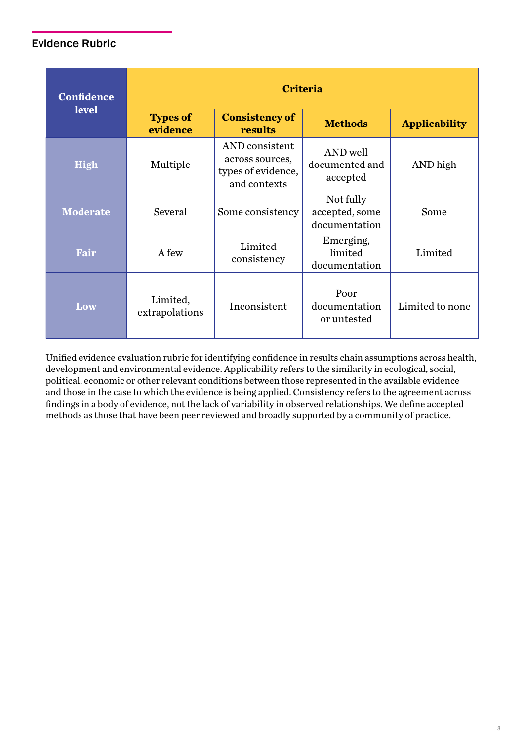# Evidence Rubric

| <b>Confidence</b><br>level | <b>Criteria</b>             |                                                                         |                                              |                      |
|----------------------------|-----------------------------|-------------------------------------------------------------------------|----------------------------------------------|----------------------|
|                            | <b>Types of</b><br>evidence | <b>Consistency of</b><br>results                                        | <b>Methods</b>                               | <b>Applicability</b> |
| <b>High</b>                | Multiple                    | AND consistent<br>across sources,<br>types of evidence,<br>and contexts | AND well<br>documented and<br>accepted       | AND high             |
| <b>Moderate</b>            | Several                     | Some consistency                                                        | Not fully<br>accepted, some<br>documentation | Some                 |
| <b>Fair</b>                | A few                       | Limited<br>consistency                                                  | Emerging,<br>limited<br>documentation        | Limited              |
| Low                        | Limited,<br>extrapolations  | Inconsistent                                                            | Poor<br>documentation<br>or untested         | Limited to none      |

Unified evidence evaluation rubric for identifying confidence in results chain assumptions across health, development and environmental evidence. Applicability refers to the similarity in ecological, social, political, economic or other relevant conditions between those represented in the available evidence and those in the case to which the evidence is being applied. Consistency refers to the agreement across findings in a body of evidence, not the lack of variability in observed relationships. We define accepted methods as those that have been peer reviewed and broadly supported by a community of practice.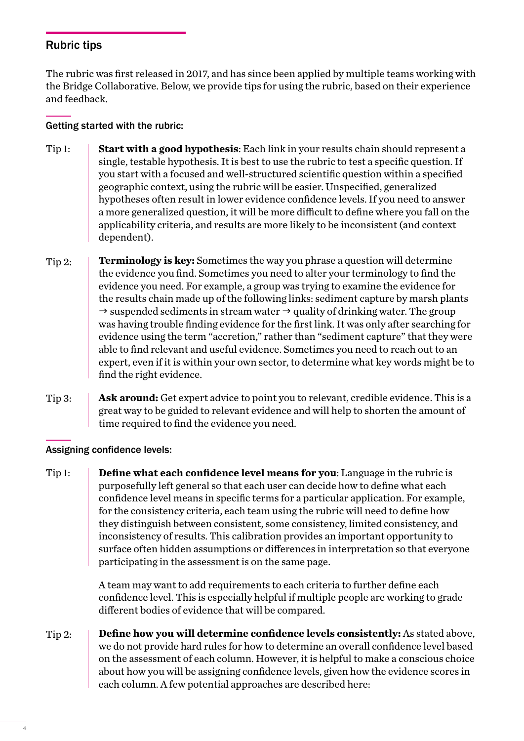# Rubric tips

The rubric was first released in 2017, and has since been applied by multiple teams working with the Bridge Collaborative. Below, we provide tips for using the rubric, based on their experience and feedback.

## Getting started with the rubric:

- **Start with a good hypothesis**: Each link in your results chain should represent a single, testable hypothesis. It is best to use the rubric to test a specific question. If you start with a focused and well-structured scientific question within a specified geographic context, using the rubric will be easier. Unspecified, generalized hypotheses often result in lower evidence confidence levels. If you need to answer a more generalized question, it will be more difficult to define where you fall on the applicability criteria, and results are more likely to be inconsistent (and context dependent). Tip 1:
- **Terminology is key:** Sometimes the way you phrase a question will determine the evidence you find. Sometimes you need to alter your terminology to find the evidence you need. For example, a group was trying to examine the evidence for the results chain made up of the following links: sediment capture by marsh plants  $\rightarrow$  suspended sediments in stream water  $\rightarrow$  quality of drinking water. The group was having trouble finding evidence for the first link. It was only after searching for evidence using the term "accretion," rather than "sediment capture" that they were able to find relevant and useful evidence. Sometimes you need to reach out to an expert, even if it is within your own sector, to determine what key words might be to find the right evidence. Tip 2:
- **Ask around:** Get expert advice to point you to relevant, credible evidence. This is a great way to be guided to relevant evidence and will help to shorten the amount of time required to find the evidence you need. Tip 3:

## Assigning confidence levels:

**Define what each confidence level means for you**: Language in the rubric is purposefully left general so that each user can decide how to define what each confidence level means in specific terms for a particular application. For example, for the consistency criteria, each team using the rubric will need to define how they distinguish between consistent, some consistency, limited consistency, and inconsistency of results. This calibration provides an important opportunity to surface often hidden assumptions or differences in interpretation so that everyone participating in the assessment is on the same page. Tip 1:

> A team may want to add requirements to each criteria to further define each confidence level. This is especially helpful if multiple people are working to grade different bodies of evidence that will be compared.

**Define how you will determine confidence levels consistently:** As stated above, we do not provide hard rules for how to determine an overall confidence level based on the assessment of each column. However, it is helpful to make a conscious choice about how you will be assigning confidence levels, given how the evidence scores in each column. A few potential approaches are described here: Tip 2: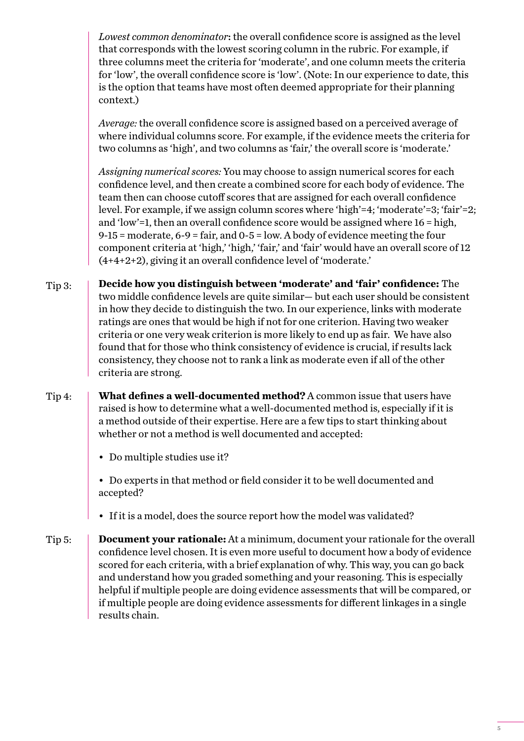*Lowest common denominator*: the overall confidence score is assigned as the level that corresponds with the lowest scoring column in the rubric. For example, if three columns meet the criteria for 'moderate', and one column meets the criteria for 'low', the overall confidence score is 'low'. (Note: In our experience to date, this is the option that teams have most often deemed appropriate for their planning context.)

*Average:* the overall confidence score is assigned based on a perceived average of where individual columns score. For example, if the evidence meets the criteria for two columns as 'high', and two columns as 'fair,' the overall score is 'moderate.'

*Assigning numerical scores:* You may choose to assign numerical scores for each confidence level, and then create a combined score for each body of evidence. The team then can choose cutoff scores that are assigned for each overall confidence level. For example, if we assign column scores where 'high'=4; 'moderate'=3; 'fair'=2; and 'low'=1, then an overall confidence score would be assigned where 16 = high, 9-15 = moderate, 6-9 = fair, and 0-5 = low. A body of evidence meeting the four component criteria at 'high,' 'high,' 'fair,' and 'fair' would have an overall score of 12 (4+4+2+2), giving it an overall confidence level of 'moderate.'

- **Decide how you distinguish between 'moderate' and 'fair' confidence:** The two middle confidence levels are quite similar— but each user should be consistent in how they decide to distinguish the two. In our experience, links with moderate ratings are ones that would be high if not for one criterion. Having two weaker criteria or one very weak criterion is more likely to end up as fair. We have also found that for those who think consistency of evidence is crucial, if results lack consistency, they choose not to rank a link as moderate even if all of the other criteria are strong. Tip 3:
- **What defines a well-documented method?** A common issue that users have raised is how to determine what a well-documented method is, especially if it is a method outside of their expertise. Here are a few tips to start thinking about whether or not a method is well documented and accepted: Tip 4:
	- Do multiple studies use it?
	- Do experts in that method or field consider it to be well documented and accepted?
	- If it is a model, does the source report how the model was validated?
- **Document your rationale:** At a minimum, document your rationale for the overall confidence level chosen. It is even more useful to document how a body of evidence scored for each criteria, with a brief explanation of why. This way, you can go back and understand how you graded something and your reasoning. This is especially helpful if multiple people are doing evidence assessments that will be compared, or if multiple people are doing evidence assessments for different linkages in a single results chain. Tip 5: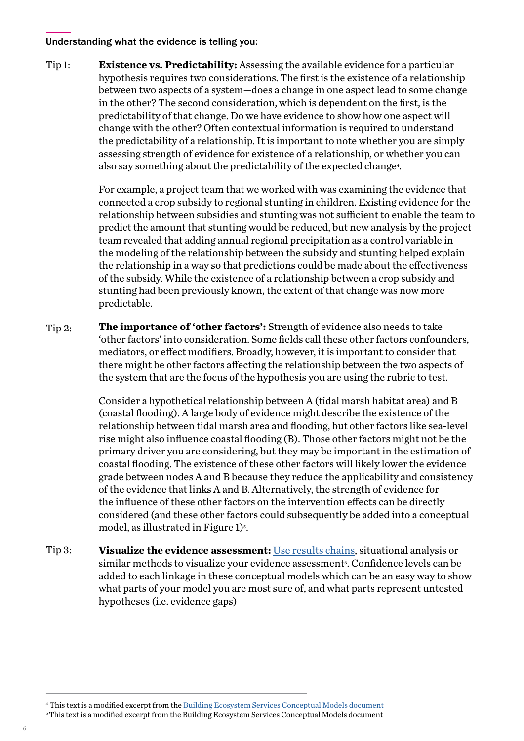## Understanding what the evidence is telling you:

**Existence vs. Predictability:** Assessing the available evidence for a particular hypothesis requires two considerations. The first is the existence of a relationship between two aspects of a system—does a change in one aspect lead to some change in the other? The second consideration, which is dependent on the first, is the predictability of that change. Do we have evidence to show how one aspect will change with the other? Often contextual information is required to understand the predictability of a relationship. It is important to note whether you are simply assessing strength of evidence for existence of a relationship, or whether you can also say something about the predictability of the expected change<sup>4</sup>. Tip 1:

> For example, a project team that we worked with was examining the evidence that connected a crop subsidy to regional stunting in children. Existing evidence for the relationship between subsidies and stunting was not sufficient to enable the team to predict the amount that stunting would be reduced, but new analysis by the project team revealed that adding annual regional precipitation as a control variable in the modeling of the relationship between the subsidy and stunting helped explain the relationship in a way so that predictions could be made about the effectiveness of the subsidy. While the existence of a relationship between a crop subsidy and stunting had been previously known, the extent of that change was now more predictable.

**The importance of 'other factors':** Strength of evidence also needs to take 'other factors' into consideration. Some fields call these other factors confounders, mediators, or effect modifiers. Broadly, however, it is important to consider that there might be other factors affecting the relationship between the two aspects of the system that are the focus of the hypothesis you are using the rubric to test. Tip 2:

> Consider a hypothetical relationship between A (tidal marsh habitat area) and B (coastal flooding). A large body of evidence might describe the existence of the relationship between tidal marsh area and flooding, but other factors like sea-level rise might also influence coastal flooding (B). Those other factors might not be the primary driver you are considering, but they may be important in the estimation of coastal flooding. The existence of these other factors will likely lower the evidence grade between nodes A and B because they reduce the applicability and consistency of the evidence that links A and B. Alternatively, the strength of evidence for the influence of these other factors on the intervention effects can be directly considered (and these other factors could subsequently be added into a conceptual model, as illustrated in Figure 1)<sup>5</sup>.

**Visualize the evidence assessment:** [Use results chains](https://nicholasinstitute.duke.edu/publications/bridge-collaborative-practitioner%E2%80%99s-guide-principles-and-guidance-cross-sector-action), situational analysis or similar methods to visualize your evidence assessment<sup>6</sup>. Confidence levels can be added to each linkage in these conceptual models which can be an easy way to show what parts of your model you are most sure of, and what parts represent untested hypotheses (i.e. evidence gaps) Tip 3:

<sup>&</sup>lt;sup>4</sup> This text is a modified excerpt from the <u>Building Ecosystem Services Conceptual Models document</u>

<sup>5</sup> This text is a modified excerpt from the Building Ecosystem Services Conceptual Models document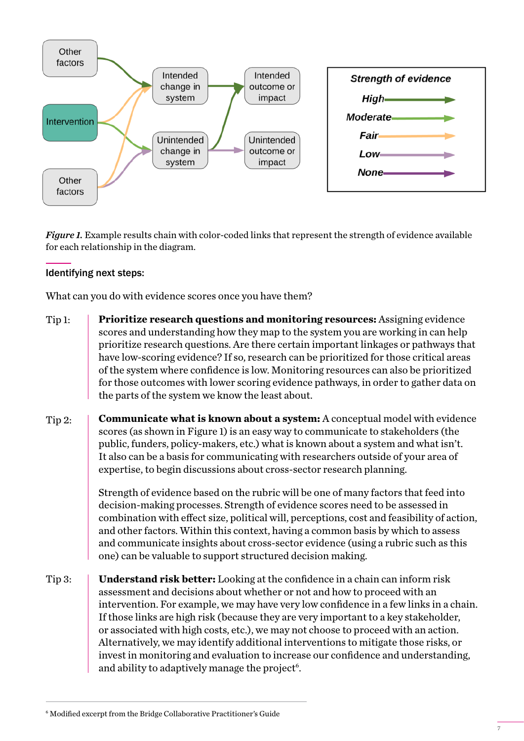

*Figure 1.* Example results chain with color-coded links that represent the strength of evidence available for each relationship in the diagram.

## Identifying next steps:

What can you do with evidence scores once you have them?

- **Prioritize research questions and monitoring resources:** Assigning evidence scores and understanding how they map to the system you are working in can help prioritize research questions. Are there certain important linkages or pathways that have low-scoring evidence? If so, research can be prioritized for those critical areas of the system where confidence is low. Monitoring resources can also be prioritized for those outcomes with lower scoring evidence pathways, in order to gather data on the parts of the system we know the least about. Tip 1:
- **Communicate what is known about a system:** A conceptual model with evidence scores (as shown in Figure 1) is an easy way to communicate to stakeholders (the public, funders, policy-makers, etc.) what is known about a system and what isn't. It also can be a basis for communicating with researchers outside of your area of expertise, to begin discussions about cross-sector research planning. Tip 2:

Strength of evidence based on the rubric will be one of many factors that feed into decision-making processes. Strength of evidence scores need to be assessed in combination with effect size, political will, perceptions, cost and feasibility of action, and other factors. Within this context, having a common basis by which to assess and communicate insights about cross-sector evidence (using a rubric such as this one) can be valuable to support structured decision making.

**Understand risk better:** Looking at the confidence in a chain can inform risk assessment and decisions about whether or not and how to proceed with an intervention. For example, we may have very low confidence in a few links in a chain. If those links are high risk (because they are very important to a key stakeholder, or associated with high costs, etc.), we may not choose to proceed with an action. Alternatively, we may identify additional interventions to mitigate those risks, or invest in monitoring and evaluation to increase our confidence and understanding, and ability to adaptively manage the project<sup>6</sup>. Tip 3:

<sup>&</sup>lt;sup>6</sup> Modified excerpt from the Bridge Collaborative Practitioner's Guide